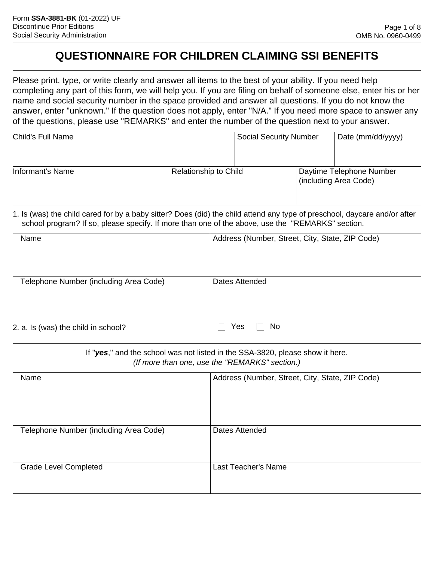## **QUESTIONNAIRE FOR CHILDREN CLAIMING SSI BENEFITS**

Please print, type, or write clearly and answer all items to the best of your ability. If you need help completing any part of this form, we will help you. If you are filing on behalf of someone else, enter his or her name and social security number in the space provided and answer all questions. If you do not know the answer, enter "unknown." If the question does not apply, enter "N/A." If you need more space to answer any of the questions, please use "REMARKS" and enter the number of the question next to your answer.

| Child's Full Name |                              | <b>Social Security Number</b> | Date (mm/dd/yyyy)                                 |
|-------------------|------------------------------|-------------------------------|---------------------------------------------------|
| Informant's Name  | <b>Relationship to Child</b> |                               | Daytime Telephone Number<br>(including Area Code) |

1. Is (was) the child cared for by a baby sitter? Does (did) the child attend any type of preschool, daycare and/or after school program? If so, please specify. If more than one of the above, use the "REMARKS" section.

| Name                                   | Address (Number, Street, City, State, ZIP Code) |
|----------------------------------------|-------------------------------------------------|
| Telephone Number (including Area Code) | Dates Attended                                  |
| 2. a. Is (was) the child in school?    | No<br>Yes                                       |

If "*yes*," and the school was not listed in the SSA-3820, please show it here. *(If more than one, use the "REMARKS" section.)*

| Name                                   | Address (Number, Street, City, State, ZIP Code) |
|----------------------------------------|-------------------------------------------------|
| Telephone Number (including Area Code) | Dates Attended                                  |
| <b>Grade Level Completed</b>           | Last Teacher's Name                             |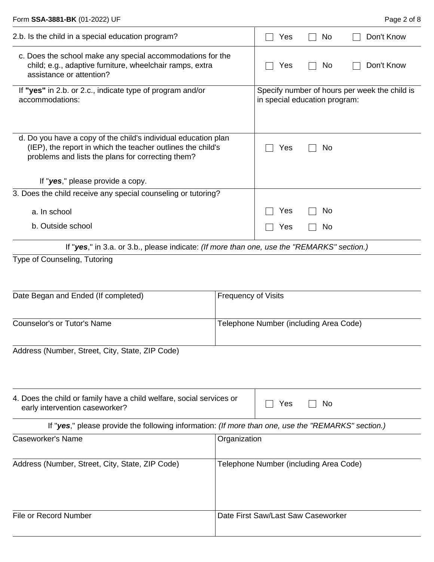| 2.b. Is the child in a special education program?                                                                                                                                  |                                        | Yes                                                                            | No.                                    | Don't Know |
|------------------------------------------------------------------------------------------------------------------------------------------------------------------------------------|----------------------------------------|--------------------------------------------------------------------------------|----------------------------------------|------------|
| c. Does the school make any special accommodations for the<br>child; e.g., adaptive furniture, wheelchair ramps, extra<br>assistance or attention?                                 |                                        | Yes                                                                            | No                                     | Don't Know |
| If "yes" in 2.b. or 2.c., indicate type of program and/or<br>accommodations:                                                                                                       |                                        | Specify number of hours per week the child is<br>in special education program: |                                        |            |
| d. Do you have a copy of the child's individual education plan<br>(IEP), the report in which the teacher outlines the child's<br>problems and lists the plans for correcting them? |                                        | Yes                                                                            | No                                     |            |
| If "yes," please provide a copy.                                                                                                                                                   |                                        |                                                                                |                                        |            |
| 3. Does the child receive any special counseling or tutoring?                                                                                                                      |                                        |                                                                                |                                        |            |
| a. In school                                                                                                                                                                       |                                        | Yes                                                                            | No                                     |            |
| b. Outside school                                                                                                                                                                  |                                        | Yes                                                                            | No.                                    |            |
| If "yes," in 3.a. or 3.b., please indicate: (If more than one, use the "REMARKS" section.)                                                                                         |                                        |                                                                                |                                        |            |
| Type of Counseling, Tutoring<br>Date Began and Ended (If completed)                                                                                                                | <b>Frequency of Visits</b>             |                                                                                |                                        |            |
| <b>Counselor's or Tutor's Name</b>                                                                                                                                                 | Telephone Number (including Area Code) |                                                                                |                                        |            |
| Address (Number, Street, City, State, ZIP Code)                                                                                                                                    |                                        |                                                                                |                                        |            |
| 4. Does the child or family have a child welfare, social services or<br>early intervention caseworker?                                                                             |                                        | Yes                                                                            | No                                     |            |
| If "yes," please provide the following information: (If more than one, use the "REMARKS" section.)                                                                                 |                                        |                                                                                |                                        |            |
| <b>Caseworker's Name</b><br>Organization                                                                                                                                           |                                        |                                                                                |                                        |            |
| Address (Number, Street, City, State, ZIP Code)                                                                                                                                    |                                        |                                                                                | Telephone Number (including Area Code) |            |
| File or Record Number                                                                                                                                                              |                                        |                                                                                | Date First Saw/Last Saw Caseworker     |            |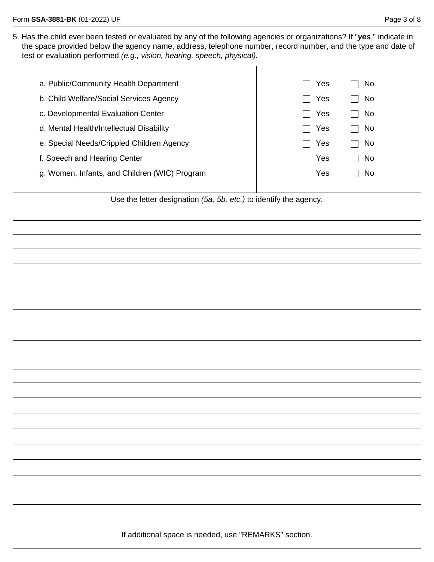5. Has the child ever been tested or evaluated by any of the following agencies or organizations? If "*yes*," indicate in the space provided below the agency name, address, telephone number, record number, and the type and date of test or evaluation performed *(e.g., vision, hearing, speech, physical).*

| a. Public/Community Health Department         | Yes<br>No  |
|-----------------------------------------------|------------|
| b. Child Welfare/Social Services Agency       | Yes<br>No. |
| c. Developmental Evaluation Center            | Yes<br>No. |
| d. Mental Health/Intellectual Disability      | Yes<br>No  |
| e. Special Needs/Crippled Children Agency     | Yes<br>No. |
| f. Speech and Hearing Center                  | Yes<br>No. |
| g. Women, Infants, and Children (WIC) Program | Yes<br>No  |
|                                               |            |

Use the letter designation *(5a, 5b, etc.)* to identify the agency.

If additional space is needed, use "REMARKS" section.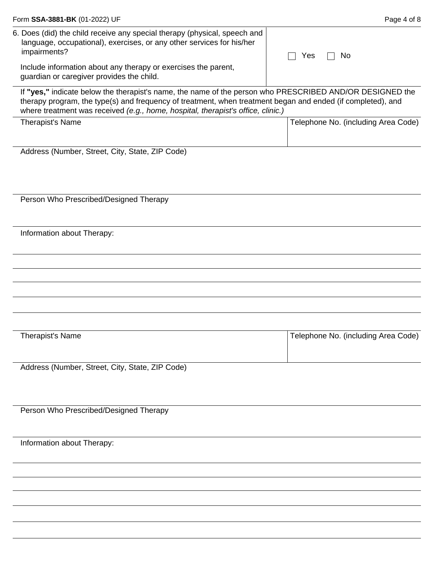| Form SSA-3881-BK (01-2022) UF                                                                                                                                                                                                                                                                               | Page 4 of 8                         |
|-------------------------------------------------------------------------------------------------------------------------------------------------------------------------------------------------------------------------------------------------------------------------------------------------------------|-------------------------------------|
| 6. Does (did) the child receive any special therapy (physical, speech and<br>language, occupational), exercises, or any other services for his/her<br>impairments?                                                                                                                                          | No<br>Yes                           |
| Include information about any therapy or exercises the parent,<br>guardian or caregiver provides the child.                                                                                                                                                                                                 |                                     |
| If "yes," indicate below the therapist's name, the name of the person who PRESCRIBED AND/OR DESIGNED the<br>therapy program, the type(s) and frequency of treatment, when treatment began and ended (if completed), and<br>where treatment was received (e.g., home, hospital, therapist's office, clinic.) |                                     |
| Therapist's Name                                                                                                                                                                                                                                                                                            | Telephone No. (including Area Code) |
| Address (Number, Street, City, State, ZIP Code)                                                                                                                                                                                                                                                             |                                     |
| Person Who Prescribed/Designed Therapy                                                                                                                                                                                                                                                                      |                                     |
| Information about Therapy:                                                                                                                                                                                                                                                                                  |                                     |
|                                                                                                                                                                                                                                                                                                             |                                     |
|                                                                                                                                                                                                                                                                                                             |                                     |
| Therapist's Name                                                                                                                                                                                                                                                                                            | Telephone No. (including Area Code) |
| Address (Number, Street, City, State, ZIP Code)                                                                                                                                                                                                                                                             |                                     |
| Person Who Prescribed/Designed Therapy                                                                                                                                                                                                                                                                      |                                     |
| Information about Therapy:                                                                                                                                                                                                                                                                                  |                                     |
|                                                                                                                                                                                                                                                                                                             |                                     |
|                                                                                                                                                                                                                                                                                                             |                                     |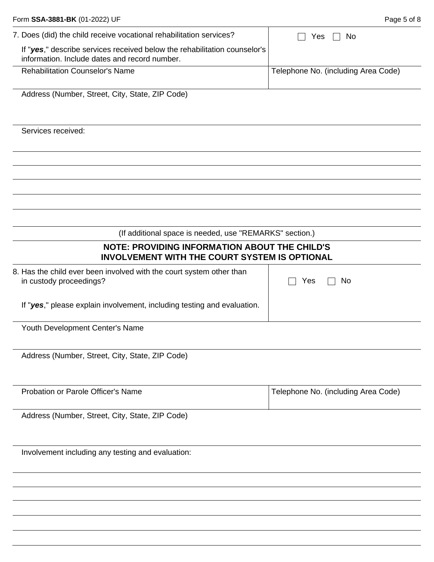| 7. Does (did) the child receive vocational rehabilitation services?                                                        | No<br>Yes                           |  |
|----------------------------------------------------------------------------------------------------------------------------|-------------------------------------|--|
| If "yes," describe services received below the rehabilitation counselor's<br>information. Include dates and record number. |                                     |  |
|                                                                                                                            |                                     |  |
| <b>Rehabilitation Counselor's Name</b>                                                                                     | Telephone No. (including Area Code) |  |
| Address (Number, Street, City, State, ZIP Code)                                                                            |                                     |  |
| Services received:                                                                                                         |                                     |  |
|                                                                                                                            |                                     |  |
|                                                                                                                            |                                     |  |
|                                                                                                                            |                                     |  |
| (If additional space is needed, use "REMARKS" section.)                                                                    |                                     |  |
| <b>NOTE: PROVIDING INFORMATION ABOUT THE CHILD'S</b><br><b>INVOLVEMENT WITH THE COURT SYSTEM IS OPTIONAL</b>               |                                     |  |
| 8. Has the child ever been involved with the court system other than<br>Yes<br>No<br>in custody proceedings?               |                                     |  |
| If "yes," please explain involvement, including testing and evaluation.                                                    |                                     |  |
| Youth Development Center's Name                                                                                            |                                     |  |
| Address (Number, Street, City, State, ZIP Code)                                                                            |                                     |  |
| Probation or Parole Officer's Name                                                                                         | Telephone No. (including Area Code) |  |
| Address (Number, Street, City, State, ZIP Code)                                                                            |                                     |  |
| Involvement including any testing and evaluation:                                                                          |                                     |  |
|                                                                                                                            |                                     |  |
|                                                                                                                            |                                     |  |

Form **SSA-3881-BK** (01-2022) UF **Page 5 of 8**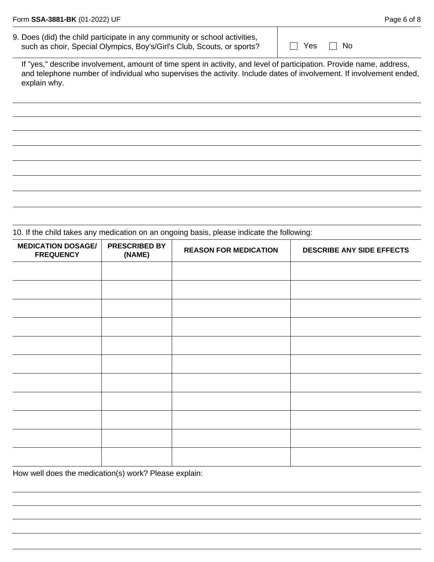9. Does (did) the child participate in any community or school activities, such as choir, Special Olympics, Boy's/Girl's Club, Scouts, or sports?

 $\Box$  Yes  $\Box$  No

If "yes," describe involvement, amount of time spent in activity, and level of participation. Provide name, address, and telephone number of individual who supervises the activity. Include dates of involvement. If involvement ended, explain why.

10. If the child takes any medication on an ongoing basis, please indicate the following:

| <b>MEDICATION DOSAGE/</b><br><b>FREQUENCY</b> | <b>PRESCRIBED BY</b><br>(NAME) | <b>REASON FOR MEDICATION</b> | DESCRIBE ANY SIDE EFFECTS |
|-----------------------------------------------|--------------------------------|------------------------------|---------------------------|
|                                               |                                |                              |                           |
|                                               |                                |                              |                           |
|                                               |                                |                              |                           |
|                                               |                                |                              |                           |
|                                               |                                |                              |                           |
|                                               |                                |                              |                           |
|                                               |                                |                              |                           |
|                                               |                                |                              |                           |
|                                               |                                |                              |                           |
|                                               |                                |                              |                           |
|                                               |                                |                              |                           |

How well does the medication(s) work? Please explain: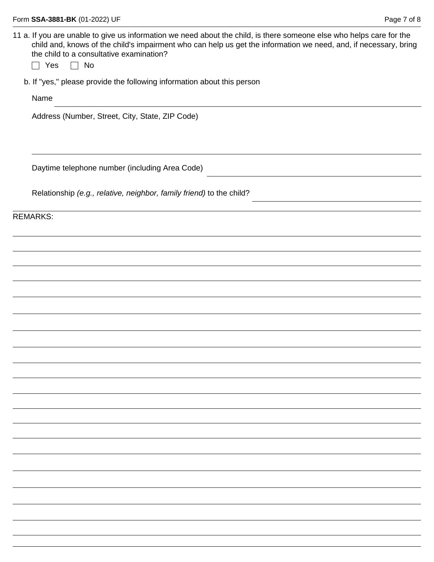11 a. If you are unable to give us information we need about the child, is there someone else who helps care for the child and, knows of the child's impairment who can help us get the information we need, and, if necessary, bring the child to a consultative examination?

 $\Box$  Yes  $\Box$  No

b. If "yes," please provide the following information about this person

Name

Address (Number, Street, City, State, ZIP Code)

Daytime telephone number (including Area Code)

Relationship *(e.g., relative, neighbor, family friend)* to the child?

REMARKS: